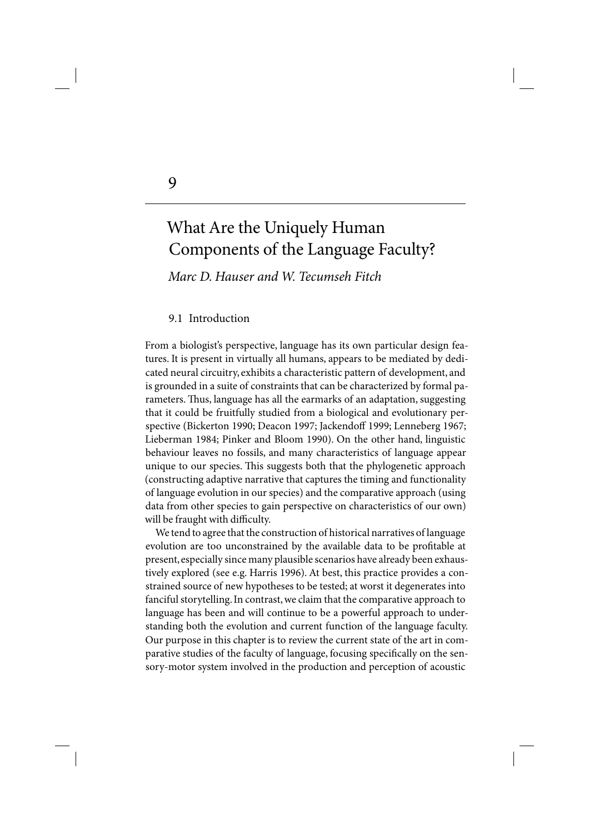# What Are the Uniquely Human Components of the Language Faculty?

*Marc D. Hauser and W. Tecumseh Fitch*

# 9.1 Introduction

From a biologist's perspective, language has its own particular design features. It is present in virtually all humans, appears to be mediated by dedicated neural circuitry, exhibits a characteristic pattern of development, and is grounded in a suite of constraints that can be characterized by formal parameters. Thus, language has all the earmarks of an adaptation, suggesting that it could be fruitfully studied from a biological and evolutionary perspective (Bickerton 1990; Deacon 1997; Jackendoff 1999; Lenneberg 1967; Lieberman 1984; Pinker and Bloom 1990). On the other hand, linguistic behaviour leaves no fossils, and many characteristics of language appear unique to our species. This suggests both that the phylogenetic approach (constructing adaptive narrative that captures the timing and functionality of language evolution in our species) and the comparative approach (using data from other species to gain perspective on characteristics of our own) will be fraught with difficulty.

We tend to agree that the construction of historical narratives of language evolution are too unconstrained by the available data to be profitable at present, especially since many plausible scenarios have already been exhaustively explored (see e.g. Harris 1996). At best, this practice provides a constrained source of new hypotheses to be tested; at worst it degenerates into fanciful storytelling. In contrast, we claim that the comparative approach to language has been and will continue to be a powerful approach to understanding both the evolution and current function of the language faculty. Our purpose in this chapter is to review the current state of the art in comparative studies of the faculty of language, focusing specifically on the sensory-motor system involved in the production and perception of acoustic

9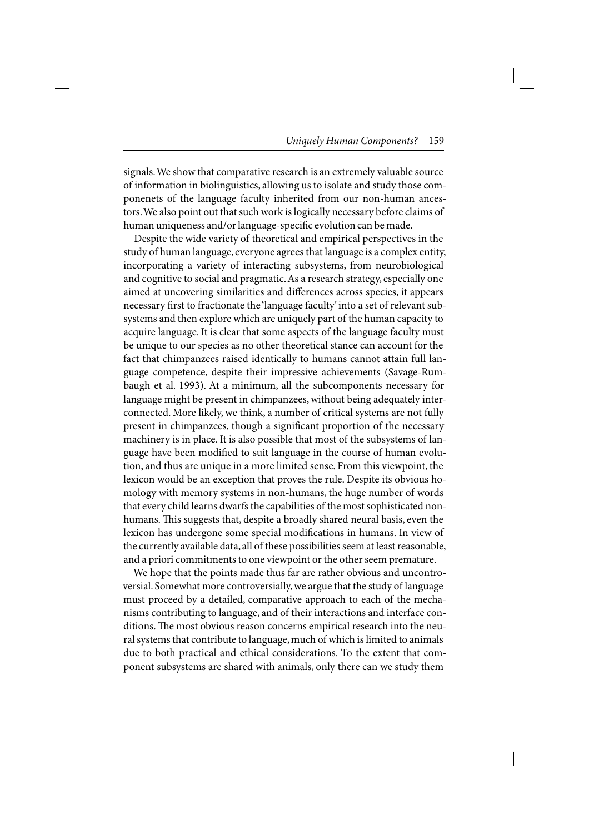signals. We show that comparative research is an extremely valuable source of information in biolinguistics, allowing us to isolate and study those componenets of the language faculty inherited from our non-human ancestors. We also point out that such work is logically necessary before claims of human uniqueness and/or language-specific evolution can be made.

Despite the wide variety of theoretical and empirical perspectives in the study of human language, everyone agrees that language is a complex entity, incorporating a variety of interacting subsystems, from neurobiological and cognitive to social and pragmatic. As a research strategy, especially one aimed at uncovering similarities and differences across species, it appears necessary first to fractionate the 'language faculty' into a set of relevant subsystems and then explore which are uniquely part of the human capacity to acquire language. It is clear that some aspects of the language faculty must be unique to our species as no other theoretical stance can account for the fact that chimpanzees raised identically to humans cannot attain full language competence, despite their impressive achievements (Savage-Rumbaugh et al. 1993). At a minimum, all the subcomponents necessary for language might be present in chimpanzees, without being adequately interconnected. More likely, we think, a number of critical systems are not fully present in chimpanzees, though a significant proportion of the necessary machinery is in place. It is also possible that most of the subsystems of language have been modified to suit language in the course of human evolution, and thus are unique in a more limited sense. From this viewpoint, the lexicon would be an exception that proves the rule. Despite its obvious homology with memory systems in non-humans, the huge number of words that every child learns dwarfs the capabilities of the most sophisticated nonhumans. This suggests that, despite a broadly shared neural basis, even the lexicon has undergone some special modifications in humans. In view of the currently available data, all of these possibilities seem at least reasonable, and a priori commitments to one viewpoint or the other seem premature.

We hope that the points made thus far are rather obvious and uncontroversial. Somewhat more controversially, we argue that the study of language must proceed by a detailed, comparative approach to each of the mechanisms contributing to language, and of their interactions and interface conditions. The most obvious reason concerns empirical research into the neural systems that contribute to language, much of which is limited to animals due to both practical and ethical considerations. To the extent that component subsystems are shared with animals, only there can we study them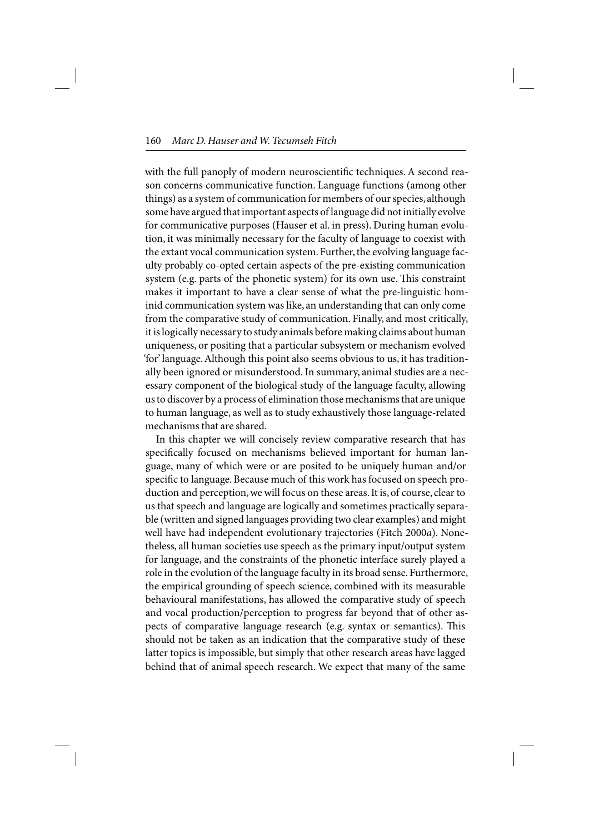with the full panoply of modern neuroscientific techniques. A second reason concerns communicative function. Language functions (among other things) as a system of communication for members of our species, although some have argued that important aspects of language did not initially evolve for communicative purposes (Hauser et al. in press). During human evolution, it was minimally necessary for the faculty of language to coexist with the extant vocal communication system. Further, the evolving language faculty probably co-opted certain aspects of the pre-existing communication system (e.g. parts of the phonetic system) for its own use. This constraint makes it important to have a clear sense of what the pre-linguistic hominid communication system was like, an understanding that can only come from the comparative study of communication. Finally, and most critically, it is logically necessary to study animals before making claims about human uniqueness, or positing that a particular subsystem or mechanism evolved 'for' language. Although this point also seems obvious to us, it has traditionally been ignored or misunderstood. In summary, animal studies are a necessary component of the biological study of the language faculty, allowing us to discover by a process of elimination those mechanisms that are unique to human language, as well as to study exhaustively those language-related mechanisms that are shared.

In this chapter we will concisely review comparative research that has specifically focused on mechanisms believed important for human language, many of which were or are posited to be uniquely human and/or specific to language. Because much of this work has focused on speech production and perception, we will focus on these areas. It is, of course, clear to us that speech and language are logically and sometimes practically separable (written and signed languages providing two clear examples) and might well have had independent evolutionary trajectories (Fitch 2000*a*). Nonetheless, all human societies use speech as the primary input/output system for language, and the constraints of the phonetic interface surely played a role in the evolution of the language faculty in its broad sense. Furthermore, the empirical grounding of speech science, combined with its measurable behavioural manifestations, has allowed the comparative study of speech and vocal production/perception to progress far beyond that of other aspects of comparative language research (e.g. syntax or semantics). This should not be taken as an indication that the comparative study of these latter topics is impossible, but simply that other research areas have lagged behind that of animal speech research. We expect that many of the same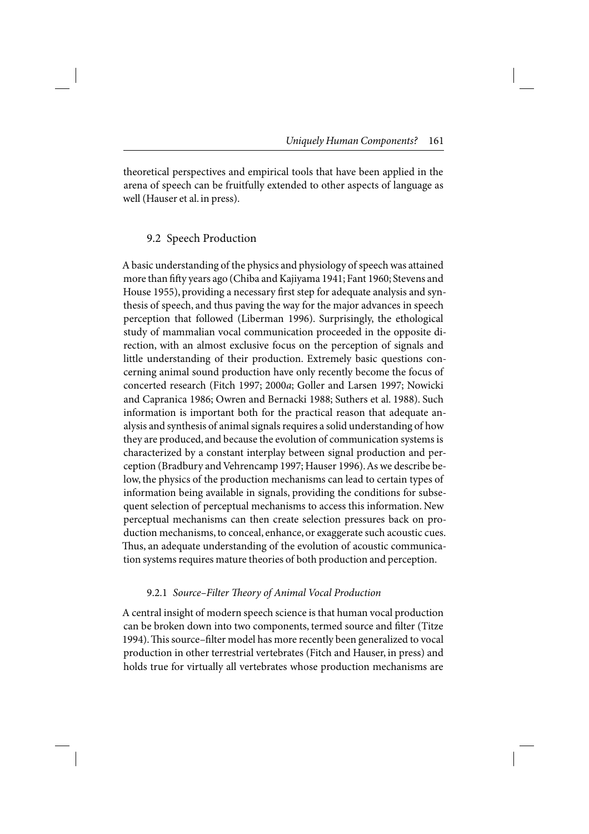theoretical perspectives and empirical tools that have been applied in the arena of speech can be fruitfully extended to other aspects of language as well (Hauser et al. in press).

## 9.2 Speech Production

A basic understanding of the physics and physiology of speech was attained more than fifty years ago (Chiba and Kajiyama 1941; Fant 1960; Stevens and House 1955), providing a necessary first step for adequate analysis and synthesis of speech, and thus paving the way for the major advances in speech perception that followed (Liberman 1996). Surprisingly, the ethological study of mammalian vocal communication proceeded in the opposite direction, with an almost exclusive focus on the perception of signals and little understanding of their production. Extremely basic questions concerning animal sound production have only recently become the focus of concerted research (Fitch 1997; 2000*a*; Goller and Larsen 1997; Nowicki and Capranica 1986; Owren and Bernacki 1988; Suthers et al. 1988). Such information is important both for the practical reason that adequate analysis and synthesis of animal signals requires a solid understanding of how they are produced, and because the evolution of communication systems is characterized by a constant interplay between signal production and perception (Bradbury and Vehrencamp 1997; Hauser 1996). As we describe below, the physics of the production mechanisms can lead to certain types of information being available in signals, providing the conditions for subsequent selection of perceptual mechanisms to access this information. New perceptual mechanisms can then create selection pressures back on production mechanisms, to conceal, enhance, or exaggerate such acoustic cues. Thus, an adequate understanding of the evolution of acoustic communication systems requires mature theories of both production and perception.

#### 9.2.1 Source-Filter Theory of Animal Vocal Production

A central insight of modern speech science is that human vocal production can be broken down into two components, termed source and filter (Titze 1994). This source–filter model has more recently been generalized to vocal production in other terrestrial vertebrates (Fitch and Hauser, in press) and holds true for virtually all vertebrates whose production mechanisms are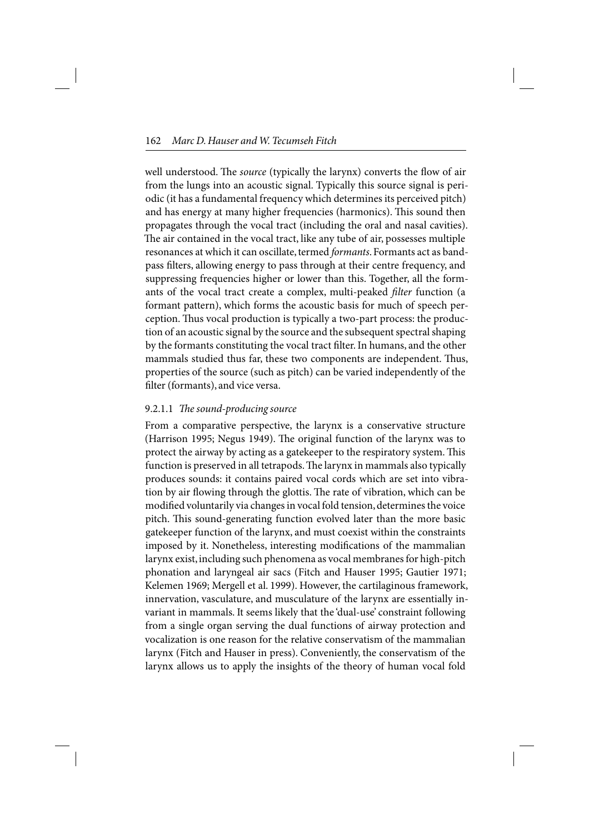well understood. The *source* (typically the larynx) converts the flow of air from the lungs into an acoustic signal. Typically this source signal is periodic (it has a fundamental frequency which determines its perceived pitch) and has energy at many higher frequencies (harmonics). This sound then propagates through the vocal tract (including the oral and nasal cavities). The air contained in the vocal tract, like any tube of air, possesses multiple resonances at which it can oscillate, termed *formants*. Formants act as bandpass filters, allowing energy to pass through at their centre frequency, and suppressing frequencies higher or lower than this. Together, all the formants of the vocal tract create a complex, multi-peaked *filter* function (a formant pattern), which forms the acoustic basis for much of speech perception. Thus vocal production is typically a two-part process: the production of an acoustic signal by the source and the subsequent spectral shaping by the formants constituting the vocal tract filter. In humans, and the other mammals studied thus far, these two components are independent. Thus, properties of the source (such as pitch) can be varied independently of the filter (formants), and vice versa.

### 9.2.1.1 The sound-producing source

From a comparative perspective, the larynx is a conservative structure (Harrison 1995; Negus 1949). The original function of the larynx was to protect the airway by acting as a gatekeeper to the respiratory system. This function is preserved in all tetrapods. The larynx in mammals also typically produces sounds: it contains paired vocal cords which are set into vibration by air flowing through the glottis. The rate of vibration, which can be modified voluntarily via changes in vocal fold tension, determines the voice pitch. This sound-generating function evolved later than the more basic gatekeeper function of the larynx, and must coexist within the constraints imposed by it. Nonetheless, interesting modifications of the mammalian larynx exist, including such phenomena as vocal membranes for high-pitch phonation and laryngeal air sacs (Fitch and Hauser 1995; Gautier 1971; Kelemen 1969; Mergell et al. 1999). However, the cartilaginous framework, innervation, vasculature, and musculature of the larynx are essentially invariant in mammals. It seems likely that the 'dual-use' constraint following from a single organ serving the dual functions of airway protection and vocalization is one reason for the relative conservatism of the mammalian larynx (Fitch and Hauser in press). Conveniently, the conservatism of the larynx allows us to apply the insights of the theory of human vocal fold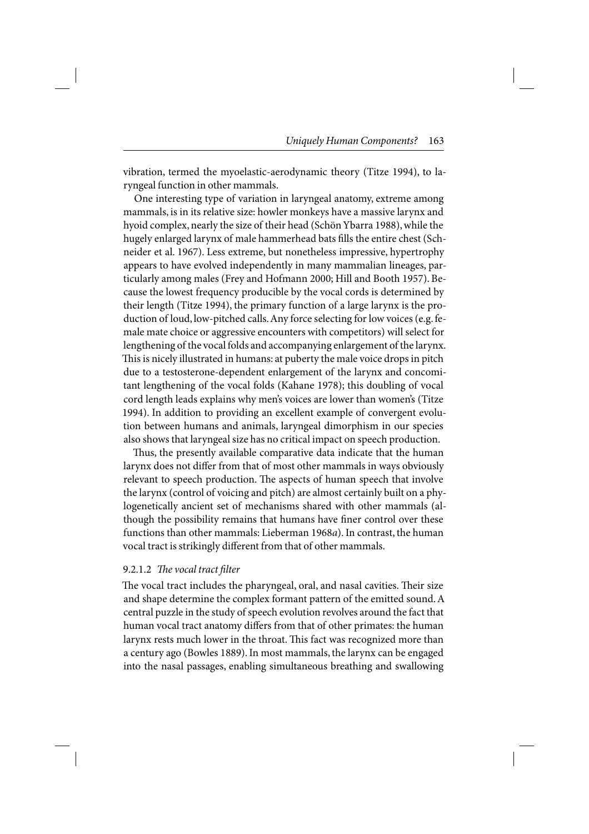vibration, termed the myoelastic-aerodynamic theory (Titze 1994), to laryngeal function in other mammals.

One interesting type of variation in laryngeal anatomy, extreme among mammals, is in its relative size: howler monkeys have a massive larynx and hyoid complex, nearly the size of their head (Schön Ybarra 1988), while the hugely enlarged larynx of male hammerhead bats fills the entire chest (Schneider et al. 1967). Less extreme, but nonetheless impressive, hypertrophy appears to have evolved independently in many mammalian lineages, particularly among males (Frey and Hofmann 2000; Hill and Booth 1957). Because the lowest frequency producible by the vocal cords is determined by their length (Titze 1994), the primary function of a large larynx is the production of loud, low-pitched calls. Any force selecting for low voices (e.g. female mate choice or aggressive encounters with competitors) will select for lengthening of the vocal folds and accompanying enlargement of the larynx. This is nicely illustrated in humans: at puberty the male voice drops in pitch due to a testosterone-dependent enlargement of the larynx and concomitant lengthening of the vocal folds (Kahane 1978); this doubling of vocal cord length leads explains why men's voices are lower than women's (Titze 1994). In addition to providing an excellent example of convergent evolution between humans and animals, laryngeal dimorphism in our species also shows that laryngeal size has no critical impact on speech production.

Thus, the presently available comparative data indicate that the human larynx does not differ from that of most other mammals in ways obviously relevant to speech production. The aspects of human speech that involve the larynx (control of voicing and pitch) are almost certainly built on a phylogenetically ancient set of mechanisms shared with other mammals (although the possibility remains that humans have finer control over these functions than other mammals: Lieberman 1968*a*). In contrast, the human vocal tract is strikingly different from that of other mammals.

### 9.2.1.2 The vocal tract filter

The vocal tract includes the pharyngeal, oral, and nasal cavities. Their size and shape determine the complex formant pattern of the emitted sound. A central puzzle in the study of speech evolution revolves around the fact that human vocal tract anatomy differs from that of other primates: the human larynx rests much lower in the throat. This fact was recognized more than a century ago (Bowles 1889). In most mammals, the larynx can be engaged into the nasal passages, enabling simultaneous breathing and swallowing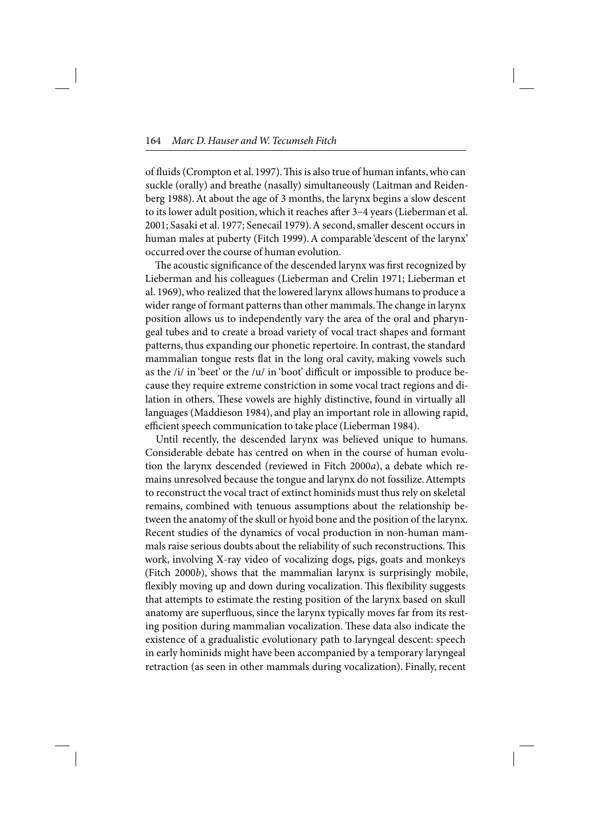of fluids (Crompton et al. 1997). This is also true of human infants, who can suckle (orally) and breathe (nasally) simultaneously (Laitman and Reidenberg 1988). At about the age of 3 months, the larynx begins a slow descent to its lower adult position, which it reaches after 3-4 years (Lieberman et al. 2001; Sasaki et al. 1977; Senecail 1979). A second, smaller descent occurs in human males at puberty (Fitch 1999). A comparable 'descent of the larynx' occurred over the course of human evolution.

The acoustic significance of the descended larynx was first recognized by Lieberman and his colleagues (Lieberman and Crelin 1971; Lieberman et al. 1969), who realized that the lowered larynx allows humans to produce a wider range of formant patterns than other mammals. The change in larynx position allows us to independently vary the area of the oral and pharyngeal tubes and to create a broad variety of vocal tract shapes and formant patterns, thus expanding our phonetic repertoire. In contrast, the standard mammalian tongue rests flat in the long oral cavity, making vowels such as the /i/ in 'beet' or the /u/ in 'boot' difficult or impossible to produce because they require extreme constriction in some vocal tract regions and dilation in others. These vowels are highly distinctive, found in virtually all languages (Maddieson 1984), and play an important role in allowing rapid, efficient speech communication to take place (Lieberman 1984).

Until recently, the descended larynx was believed unique to humans. Considerable debate has centred on when in the course of human evolution the larynx descended (reviewed in Fitch 2000*a*), a debate which remains unresolved because the tongue and larynx do not fossilize. Attempts to reconstruct the vocal tract of extinct hominids must thus rely on skeletal remains, combined with tenuous assumptions about the relationship between the anatomy of the skull or hyoid bone and the position of the larynx. Recent studies of the dynamics of vocal production in non-human mammals raise serious doubts about the reliability of such reconstructions. This work, involving X-ray video of vocalizing dogs, pigs, goats and monkeys (Fitch 2000*b*), shows that the mammalian larynx is surprisingly mobile, flexibly moving up and down during vocalization. This flexibility suggests that attempts to estimate the resting position of the larynx based on skull anatomy are superfluous, since the larynx typically moves far from its resting position during mammalian vocalization. These data also indicate the existence of a gradualistic evolutionary path to laryngeal descent: speech in early hominids might have been accompanied by a temporary laryngeal retraction (as seen in other mammals during vocalization). Finally, recent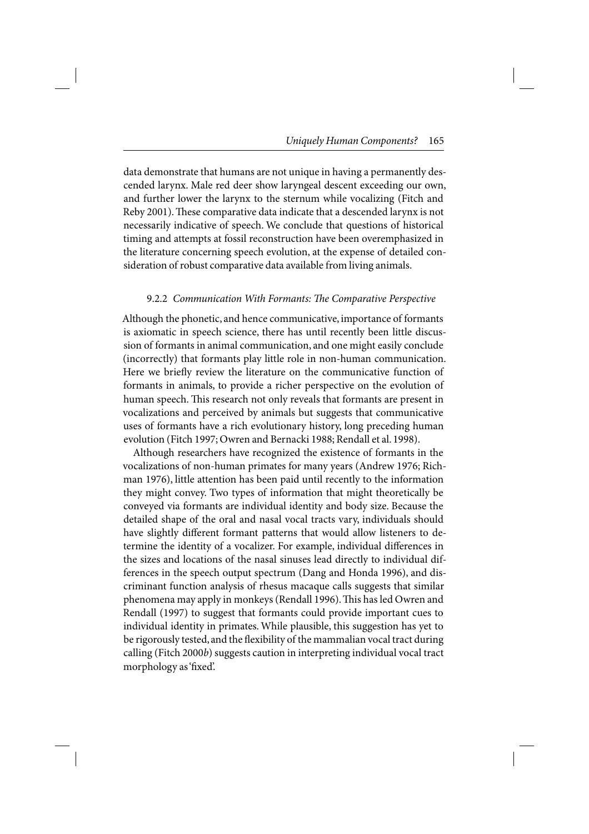data demonstrate that humans are not unique in having a permanently descended larynx. Male red deer show laryngeal descent exceeding our own, and further lower the larynx to the sternum while vocalizing (Fitch and Reby 2001). These comparative data indicate that a descended larynx is not necessarily indicative of speech. We conclude that questions of historical timing and attempts at fossil reconstruction have been overemphasized in the literature concerning speech evolution, at the expense of detailed consideration of robust comparative data available from living animals.

#### 9.2.2 Communication With Formants: The Comparative Perspective

Although the phonetic, and hence communicative, importance of formants is axiomatic in speech science, there has until recently been little discussion of formants in animal communication, and one might easily conclude (incorrectly) that formants play little role in non-human communication. Here we briefly review the literature on the communicative function of formants in animals, to provide a richer perspective on the evolution of human speech. This research not only reveals that formants are present in vocalizations and perceived by animals but suggests that communicative uses of formants have a rich evolutionary history, long preceding human evolution (Fitch 1997; Owren and Bernacki 1988; Rendall et al. 1998).

Although researchers have recognized the existence of formants in the vocalizations of non-human primates for many years (Andrew 1976; Richman 1976), little attention has been paid until recently to the information they might convey. Two types of information that might theoretically be conveyed via formants are individual identity and body size. Because the detailed shape of the oral and nasal vocal tracts vary, individuals should have slightly different formant patterns that would allow listeners to determine the identity of a vocalizer. For example, individual differences in the sizes and locations of the nasal sinuses lead directly to individual differences in the speech output spectrum (Dang and Honda 1996), and discriminant function analysis of rhesus macaque calls suggests that similar phenomena may apply in monkeys (Rendall 1996). This has led Owren and Rendall (1997) to suggest that formants could provide important cues to individual identity in primates. While plausible, this suggestion has yet to be rigorously tested, and the flexibility of the mammalian vocal tract during calling (Fitch 2000*b*) suggests caution in interpreting individual vocal tract morphology as 'fixed'.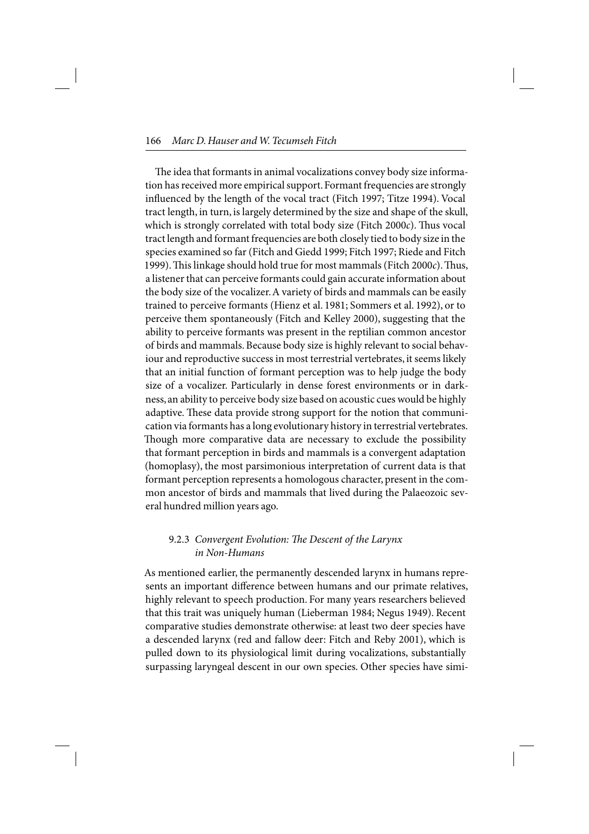The idea that formants in animal vocalizations convey body size information has received more empirical support. Formant frequencies are strongly influenced by the length of the vocal tract (Fitch 1997; Titze 1994). Vocal tract length, in turn, is largely determined by the size and shape of the skull, which is strongly correlated with total body size (Fitch 2000c). Thus vocal tract length and formant frequencies are both closely tied to body size in the species examined so far (Fitch and Giedd 1999; Fitch 1997; Riede and Fitch 1999). This linkage should hold true for most mammals (Fitch 2000c). Thus, a listener that can perceive formants could gain accurate information about the body size of the vocalizer. A variety of birds and mammals can be easily trained to perceive formants (Hienz et al. 1981; Sommers et al. 1992), or to perceive them spontaneously (Fitch and Kelley 2000), suggesting that the ability to perceive formants was present in the reptilian common ancestor of birds and mammals. Because body size is highly relevant to social behaviour and reproductive success in most terrestrial vertebrates, it seems likely that an initial function of formant perception was to help judge the body size of a vocalizer. Particularly in dense forest environments or in darkness, an ability to perceive body size based on acoustic cues would be highly adaptive. These data provide strong support for the notion that communication via formants has a long evolutionary history in terrestrial vertebrates. Though more comparative data are necessary to exclude the possibility that formant perception in birds and mammals is a convergent adaptation (homoplasy), the most parsimonious interpretation of current data is that formant perception represents a homologous character, present in the common ancestor of birds and mammals that lived during the Palaeozoic several hundred million years ago.

# 9.2.3 Convergent Evolution: The Descent of the Larynx *in Non-Humans*

As mentioned earlier, the permanently descended larynx in humans represents an important difference between humans and our primate relatives, highly relevant to speech production. For many years researchers believed that this trait was uniquely human (Lieberman 1984; Negus 1949). Recent comparative studies demonstrate otherwise: at least two deer species have a descended larynx (red and fallow deer: Fitch and Reby 2001), which is pulled down to its physiological limit during vocalizations, substantially surpassing laryngeal descent in our own species. Other species have simi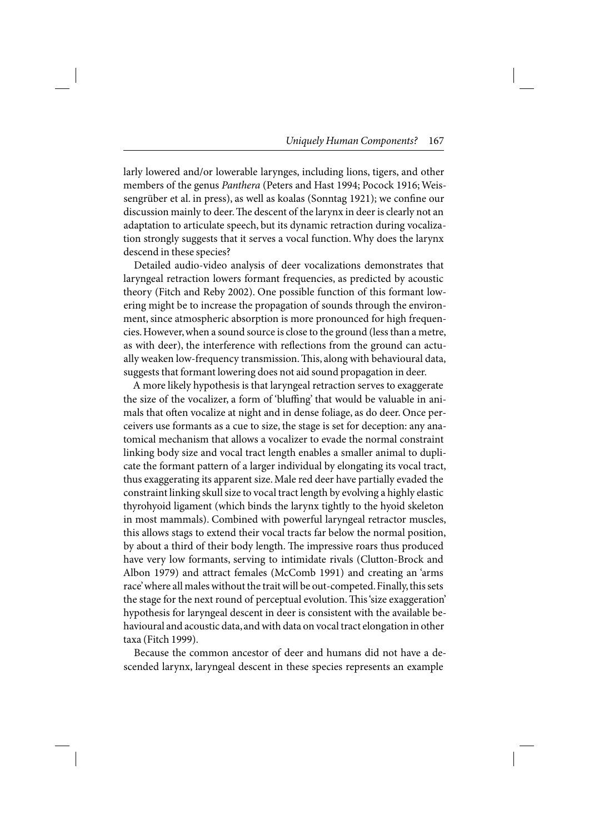larly lowered and/or lowerable larynges, including lions, tigers, and other members of the genus *Panthera* (Peters and Hast 1994; Pocock 1916; Weissengrüber et al. in press), as well as koalas (Sonntag 1921); we confine our discussion mainly to deer. The descent of the larynx in deer is clearly not an adaptation to articulate speech, but its dynamic retraction during vocalization strongly suggests that it serves a vocal function. Why does the larynx descend in these species?

Detailed audio-video analysis of deer vocalizations demonstrates that laryngeal retraction lowers formant frequencies, as predicted by acoustic theory (Fitch and Reby 2002). One possible function of this formant lowering might be to increase the propagation of sounds through the environment, since atmospheric absorption is more pronounced for high frequencies. However, when a sound source is close to the ground (less than a metre, as with deer), the interference with reflections from the ground can actually weaken low-frequency transmission. This, along with behavioural data, suggests that formant lowering does not aid sound propagation in deer.

A more likely hypothesis is that laryngeal retraction serves to exaggerate the size of the vocalizer, a form of 'bluffing' that would be valuable in animals that often vocalize at night and in dense foliage, as do deer. Once perceivers use formants as a cue to size, the stage is set for deception: any anatomical mechanism that allows a vocalizer to evade the normal constraint linking body size and vocal tract length enables a smaller animal to duplicate the formant pattern of a larger individual by elongating its vocal tract, thus exaggerating its apparent size. Male red deer have partially evaded the constraint linking skull size to vocal tract length by evolving a highly elastic thyrohyoid ligament (which binds the larynx tightly to the hyoid skeleton in most mammals). Combined with powerful laryngeal retractor muscles, this allows stags to extend their vocal tracts far below the normal position, by about a third of their body length. The impressive roars thus produced have very low formants, serving to intimidate rivals (Clutton-Brock and Albon 1979) and attract females (McComb 1991) and creating an 'arms race' where all males without the trait will be out-competed. Finally, this sets the stage for the next round of perceptual evolution. This 'size exaggeration' hypothesis for laryngeal descent in deer is consistent with the available behavioural and acoustic data, and with data on vocal tract elongation in other taxa (Fitch 1999).

Because the common ancestor of deer and humans did not have a descended larynx, laryngeal descent in these species represents an example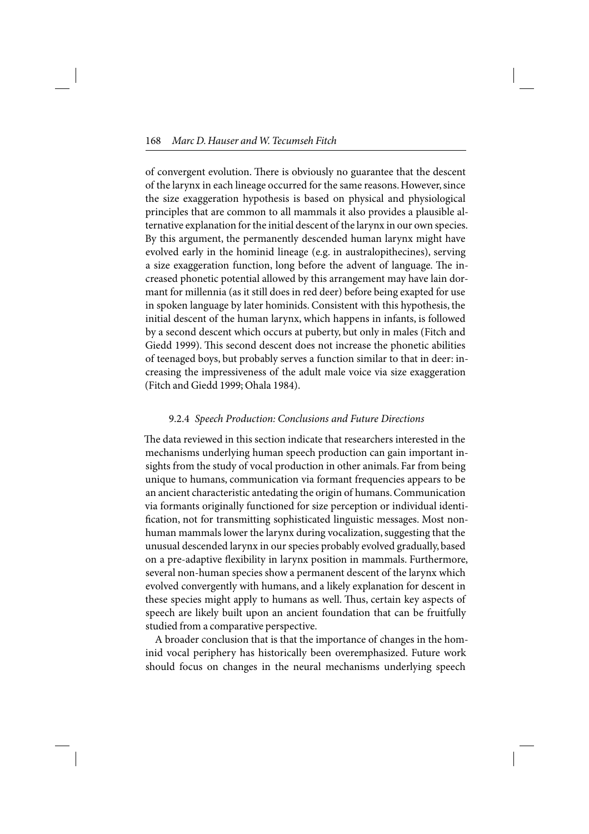of convergent evolution. There is obviously no guarantee that the descent of the larynx in each lineage occurred for the same reasons. However, since the size exaggeration hypothesis is based on physical and physiological principles that are common to all mammals it also provides a plausible alternative explanation for the initial descent of the larynx in our own species. By this argument, the permanently descended human larynx might have evolved early in the hominid lineage (e.g. in australopithecines), serving a size exaggeration function, long before the advent of language. The increased phonetic potential allowed by this arrangement may have lain dormant for millennia (as it still does in red deer) before being exapted for use in spoken language by later hominids. Consistent with this hypothesis, the initial descent of the human larynx, which happens in infants, is followed by a second descent which occurs at puberty, but only in males (Fitch and Giedd 1999). This second descent does not increase the phonetic abilities of teenaged boys, but probably serves a function similar to that in deer: increasing the impressiveness of the adult male voice via size exaggeration (Fitch and Giedd 1999; Ohala 1984).

#### 9.2.4 *Speech Production: Conclusions and Future Directions*

The data reviewed in this section indicate that researchers interested in the mechanisms underlying human speech production can gain important insights from the study of vocal production in other animals. Far from being unique to humans, communication via formant frequencies appears to be an ancient characteristic antedating the origin of humans. Communication via formants originally functioned for size perception or individual identification, not for transmitting sophisticated linguistic messages. Most nonhuman mammals lower the larynx during vocalization, suggesting that the unusual descended larynx in our species probably evolved gradually, based on a pre-adaptive flexibility in larynx position in mammals. Furthermore, several non-human species show a permanent descent of the larynx which evolved convergently with humans, and a likely explanation for descent in these species might apply to humans as well. Thus, certain key aspects of speech are likely built upon an ancient foundation that can be fruitfully studied from a comparative perspective.

A broader conclusion that is that the importance of changes in the hominid vocal periphery has historically been overemphasized. Future work should focus on changes in the neural mechanisms underlying speech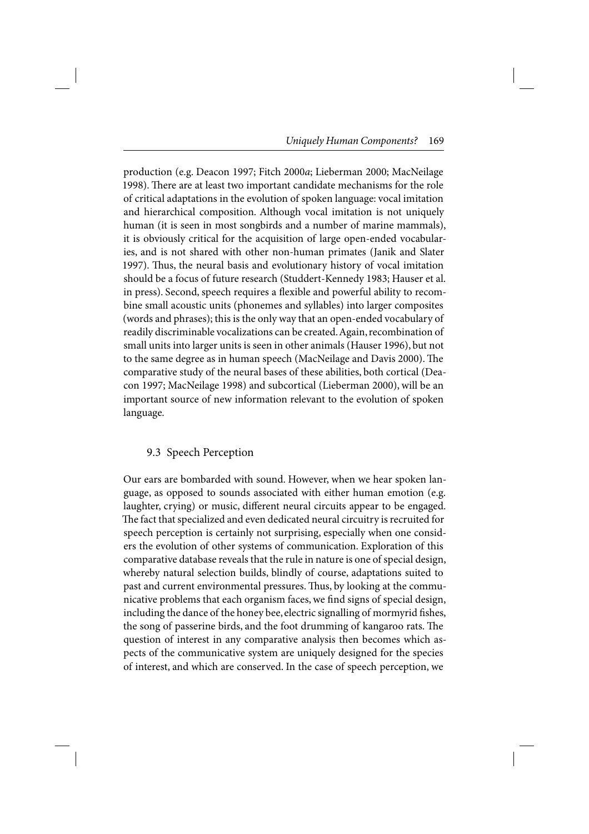production (e.g. Deacon 1997; Fitch 2000*a*; Lieberman 2000; MacNeilage 1998). There are at least two important candidate mechanisms for the role of critical adaptations in the evolution of spoken language: vocal imitation and hierarchical composition. Although vocal imitation is not uniquely human (it is seen in most songbirds and a number of marine mammals), it is obviously critical for the acquisition of large open-ended vocabularies, and is not shared with other non-human primates (Janik and Slater 1997). Thus, the neural basis and evolutionary history of vocal imitation should be a focus of future research (Studdert-Kennedy 1983; Hauser et al. in press). Second, speech requires a flexible and powerful ability to recombine small acoustic units (phonemes and syllables) into larger composites (words and phrases); this is the only way that an open-ended vocabulary of readily discriminable vocalizations can be created. Again, recombination of small units into larger units is seen in other animals (Hauser 1996), but not to the same degree as in human speech (MacNeilage and Davis 2000). The comparative study of the neural bases of these abilities, both cortical (Deacon 1997; MacNeilage 1998) and subcortical (Lieberman 2000), will be an important source of new information relevant to the evolution of spoken language.

## 9.3 Speech Perception

Our ears are bombarded with sound. However, when we hear spoken language, as opposed to sounds associated with either human emotion (e.g. laughter, crying) or music, different neural circuits appear to be engaged. The fact that specialized and even dedicated neural circuitry is recruited for speech perception is certainly not surprising, especially when one considers the evolution of other systems of communication. Exploration of this comparative database reveals that the rule in nature is one of special design, whereby natural selection builds, blindly of course, adaptations suited to past and current environmental pressures. Thus, by looking at the communicative problems that each organism faces, we find signs of special design, including the dance of the honey bee, electric signalling of mormyrid fishes, the song of passerine birds, and the foot drumming of kangaroo rats. The question of interest in any comparative analysis then becomes which aspects of the communicative system are uniquely designed for the species of interest, and which are conserved. In the case of speech perception, we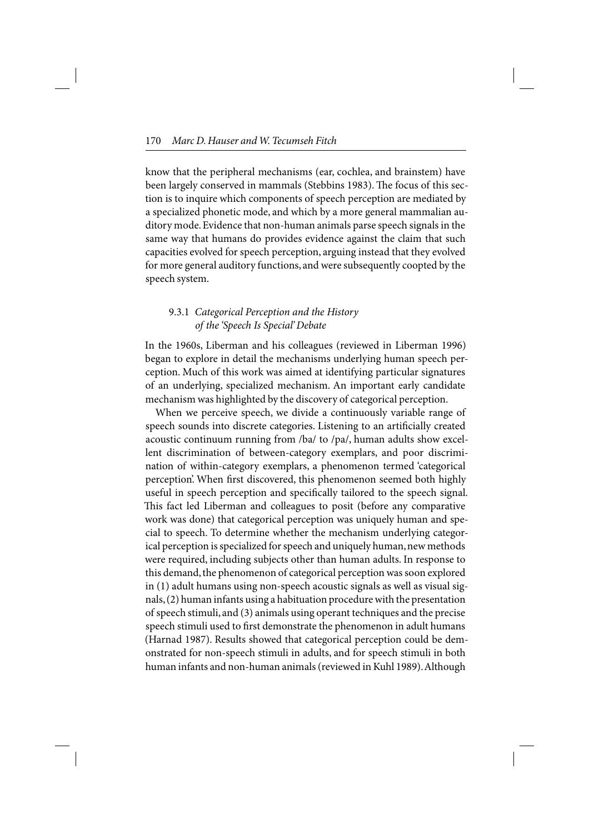know that the peripheral mechanisms (ear, cochlea, and brainstem) have been largely conserved in mammals (Stebbins 1983). The focus of this section is to inquire which components of speech perception are mediated by a specialized phonetic mode, and which by a more general mammalian auditory mode. Evidence that non-human animals parse speech signals in the same way that humans do provides evidence against the claim that such capacities evolved for speech perception, arguing instead that they evolved for more general auditory functions, and were subsequently coopted by the speech system.

## 9.3.1 *Categorical Perception and the History of the 'Speech Is Special' Debate*

In the 1960s, Liberman and his colleagues (reviewed in Liberman 1996) began to explore in detail the mechanisms underlying human speech perception. Much of this work was aimed at identifying particular signatures of an underlying, specialized mechanism. An important early candidate mechanism was highlighted by the discovery of categorical perception.

When we perceive speech, we divide a continuously variable range of speech sounds into discrete categories. Listening to an artificially created acoustic continuum running from /ba/ to /pa/, human adults show excellent discrimination of between-category exemplars, and poor discrimination of within-category exemplars, a phenomenon termed 'categorical perception'. When first discovered, this phenomenon seemed both highly useful in speech perception and specifically tailored to the speech signal. This fact led Liberman and colleagues to posit (before any comparative work was done) that categorical perception was uniquely human and special to speech. To determine whether the mechanism underlying categorical perception is specialized for speech and uniquely human, new methods were required, including subjects other than human adults. In response to this demand, the phenomenon of categorical perception was soon explored in (1) adult humans using non-speech acoustic signals as well as visual signals, (2) human infants using a habituation procedure with the presentation of speech stimuli, and (3) animals using operant techniques and the precise speech stimuli used to first demonstrate the phenomenon in adult humans (Harnad 1987). Results showed that categorical perception could be demonstrated for non-speech stimuli in adults, and for speech stimuli in both human infants and non-human animals (reviewed in Kuhl 1989). Although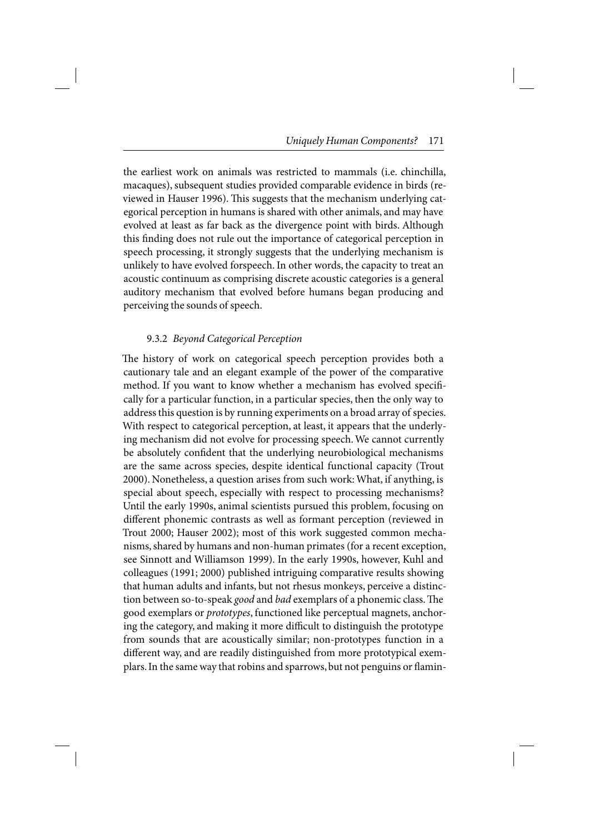the earliest work on animals was restricted to mammals (i.e. chinchilla, macaques), subsequent studies provided comparable evidence in birds (reviewed in Hauser 1996). This suggests that the mechanism underlying categorical perception in humans is shared with other animals, and may have evolved at least as far back as the divergence point with birds. Although this finding does not rule out the importance of categorical perception in speech processing, it strongly suggests that the underlying mechanism is unlikely to have evolved forspeech. In other words, the capacity to treat an acoustic continuum as comprising discrete acoustic categories is a general auditory mechanism that evolved before humans began producing and perceiving the sounds of speech.

#### 9.3.2 *Beyond Categorical Perception*

The history of work on categorical speech perception provides both a cautionary tale and an elegant example of the power of the comparative method. If you want to know whether a mechanism has evolved specifically for a particular function, in a particular species, then the only way to address this question is by running experiments on a broad array of species. With respect to categorical perception, at least, it appears that the underlying mechanism did not evolve for processing speech. We cannot currently be absolutely confident that the underlying neurobiological mechanisms are the same across species, despite identical functional capacity (Trout 2000). Nonetheless, a question arises from such work: What, if anything, is special about speech, especially with respect to processing mechanisms? Until the early 1990s, animal scientists pursued this problem, focusing on different phonemic contrasts as well as formant perception (reviewed in Trout 2000; Hauser 2002); most of this work suggested common mechanisms, shared by humans and non-human primates (for a recent exception, see Sinnott and Williamson 1999). In the early 1990s, however, Kuhl and colleagues (1991; 2000) published intriguing comparative results showing that human adults and infants, but not rhesus monkeys, perceive a distinction between so-to-speak *good* and *bad* exemplars of a phonemic class. The good exemplars or *prototypes*, functioned like perceptual magnets, anchoring the category, and making it more difficult to distinguish the prototype from sounds that are acoustically similar; non-prototypes function in a different way, and are readily distinguished from more prototypical exemplars. In the same way that robins and sparrows, but not penguins or flamin-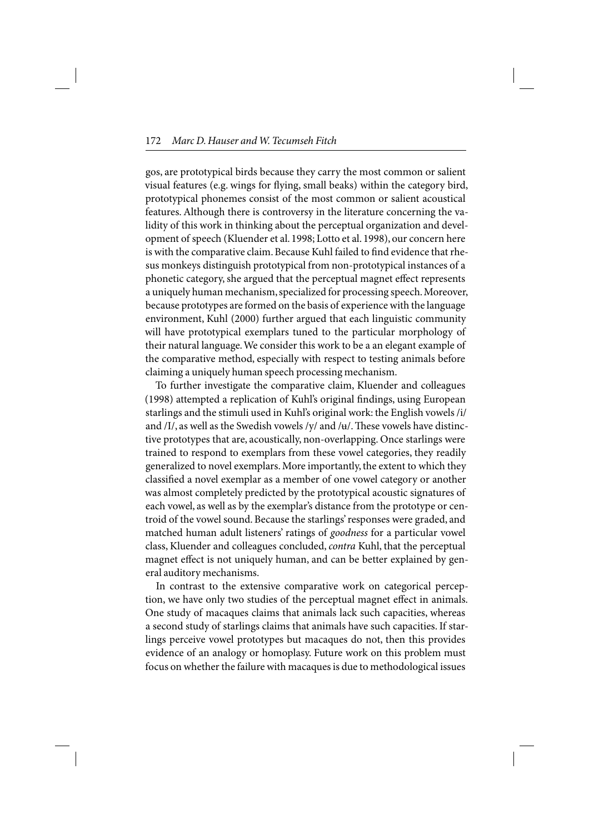gos, are prototypical birds because they carry the most common or salient visual features (e.g. wings for flying, small beaks) within the category bird, prototypical phonemes consist of the most common or salient acoustical features. Although there is controversy in the literature concerning the validity of this work in thinking about the perceptual organization and development of speech (Kluender et al. 1998; Lotto et al. 1998), our concern here is with the comparative claim. Because Kuhl failed to find evidence that rhesus monkeys distinguish prototypical from non-prototypical instances of a phonetic category, she argued that the perceptual magnet effect represents a uniquely human mechanism, specialized for processing speech. Moreover, because prototypes are formed on the basis of experience with the language environment, Kuhl (2000) further argued that each linguistic community will have prototypical exemplars tuned to the particular morphology of their natural language. We consider this work to be a an elegant example of the comparative method, especially with respect to testing animals before claiming a uniquely human speech processing mechanism.

To further investigate the comparative claim, Kluender and colleagues (1998) attempted a replication of Kuhl's original findings, using European starlings and the stimuli used in Kuhl's original work: the English vowels /i/ and /I/, as well as the Swedish vowels /y/ and / $\scriptstyle\rm H$ /. These vowels have distinctive prototypes that are, acoustically, non-overlapping. Once starlings were trained to respond to exemplars from these vowel categories, they readily generalized to novel exemplars. More importantly, the extent to which they classified a novel exemplar as a member of one vowel category or another was almost completely predicted by the prototypical acoustic signatures of each vowel, as well as by the exemplar's distance from the prototype or centroid of the vowel sound. Because the starlings' responses were graded, and matched human adult listeners' ratings of *goodness* for a particular vowel class, Kluender and colleagues concluded, *contra* Kuhl, that the perceptual magnet effect is not uniquely human, and can be better explained by general auditory mechanisms.

In contrast to the extensive comparative work on categorical perception, we have only two studies of the perceptual magnet effect in animals. One study of macaques claims that animals lack such capacities, whereas a second study of starlings claims that animals have such capacities. If starlings perceive vowel prototypes but macaques do not, then this provides evidence of an analogy or homoplasy. Future work on this problem must focus on whether the failure with macaques is due to methodological issues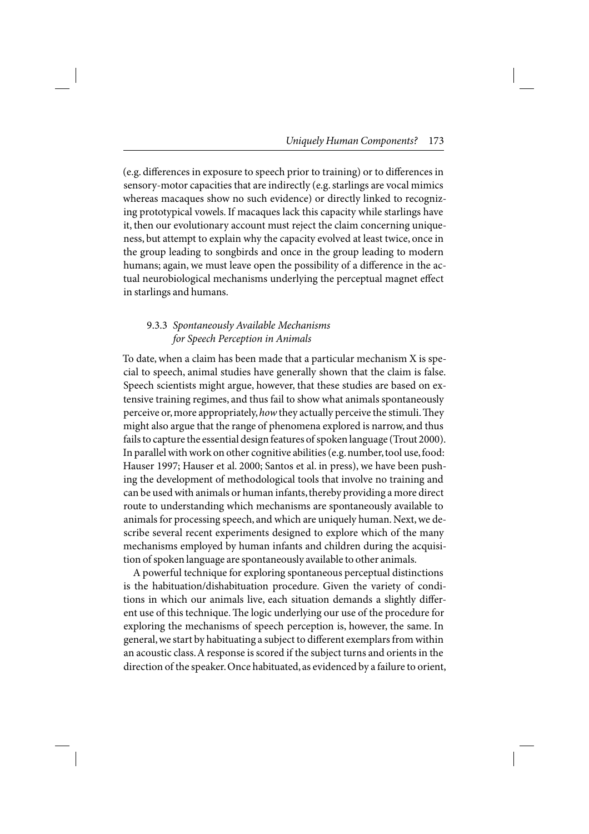(e.g. differences in exposure to speech prior to training) or to differences in sensory-motor capacities that are indirectly (e.g. starlings are vocal mimics whereas macaques show no such evidence) or directly linked to recognizing prototypical vowels. If macaques lack this capacity while starlings have it, then our evolutionary account must reject the claim concerning uniqueness, but attempt to explain why the capacity evolved at least twice, once in the group leading to songbirds and once in the group leading to modern humans; again, we must leave open the possibility of a difference in the actual neurobiological mechanisms underlying the perceptual magnet effect in starlings and humans.

## 9.3.3 *Spontaneously Available Mechanisms for Speech Perception in Animals*

To date, when a claim has been made that a particular mechanism X is special to speech, animal studies have generally shown that the claim is false. Speech scientists might argue, however, that these studies are based on extensive training regimes, and thus fail to show what animals spontaneously perceive or, more appropriately, *how* they actually perceive the stimuli. They might also argue that the range of phenomena explored is narrow, and thus fails to capture the essential design features of spoken language (Trout 2000). In parallel with work on other cognitive abilities (e.g. number, tool use, food: Hauser 1997; Hauser et al. 2000; Santos et al. in press), we have been pushing the development of methodological tools that involve no training and can be used with animals or human infants, thereby providing a more direct route to understanding which mechanisms are spontaneously available to animals for processing speech, and which are uniquely human. Next, we describe several recent experiments designed to explore which of the many mechanisms employed by human infants and children during the acquisition of spoken language are spontaneously available to other animals.

A powerful technique for exploring spontaneous perceptual distinctions is the habituation/dishabituation procedure. Given the variety of conditions in which our animals live, each situation demands a slightly different use of this technique. The logic underlying our use of the procedure for exploring the mechanisms of speech perception is, however, the same. In general, we start by habituating a subject to different exemplars from within an acoustic class. A response is scored if the subject turns and orients in the direction of the speaker. Once habituated, as evidenced by a failure to orient,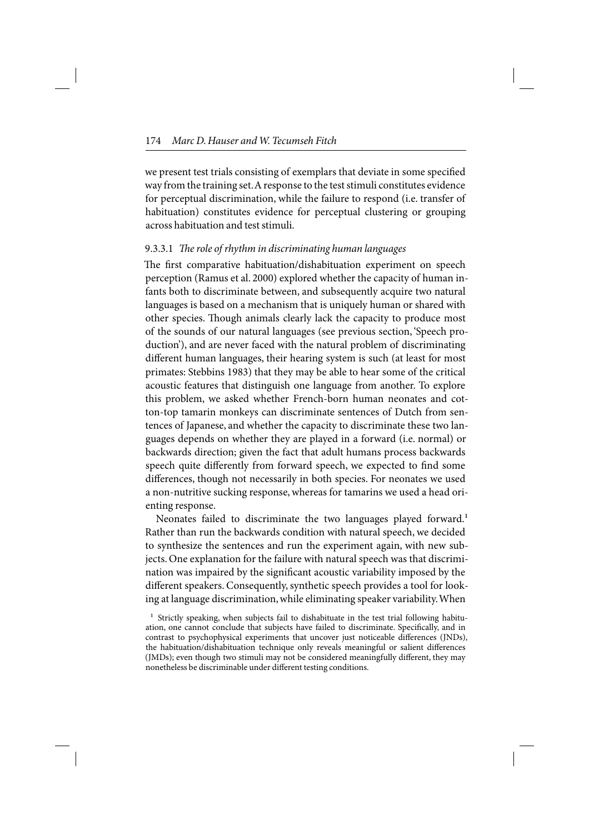we present test trials consisting of exemplars that deviate in some specified way from the training set. A response to the test stimuli constitutes evidence for perceptual discrimination, while the failure to respond (i.e. transfer of habituation) constitutes evidence for perceptual clustering or grouping across habituation and test stimuli.

### 9.3.3.1 The role of rhythm in discriminating human languages

The first comparative habituation/dishabituation experiment on speech perception (Ramus et al. 2000) explored whether the capacity of human infants both to discriminate between, and subsequently acquire two natural languages is based on a mechanism that is uniquely human or shared with other species. Though animals clearly lack the capacity to produce most of the sounds of our natural languages (see previous section, 'Speech production'), and are never faced with the natural problem of discriminating different human languages, their hearing system is such (at least for most primates: Stebbins 1983) that they may be able to hear some of the critical acoustic features that distinguish one language from another. To explore this problem, we asked whether French-born human neonates and cotton-top tamarin monkeys can discriminate sentences of Dutch from sentences of Japanese, and whether the capacity to discriminate these two languages depends on whether they are played in a forward (i.e. normal) or backwards direction; given the fact that adult humans process backwards speech quite differently from forward speech, we expected to find some differences, though not necessarily in both species. For neonates we used a non- nutritive sucking response, whereas for tamarins we used a head orienting response.

Neonates failed to discriminate the two languages played forward.<sup>1</sup> Rather than run the backwards condition with natural speech, we decided to synthesize the sentences and run the experiment again, with new subjects. One explanation for the failure with natural speech was that discrimination was impaired by the significant acoustic variability imposed by the different speakers. Consequently, synthetic speech provides a tool for looking at language discrimination, while eliminating speaker variability. When

<sup>&</sup>lt;sup>1</sup> Strictly speaking, when subjects fail to dishabituate in the test trial following habituation, one cannot conclude that subjects have failed to discriminate. Specifically, and in contrast to psychophysical experiments that uncover just noticeable differences (JNDs), the habituation/dishabituation technique only reveals meaningful or salient differences (JMDs); even though two stimuli may not be considered meaningfully different, they may nonetheless be discriminable under different testing conditions.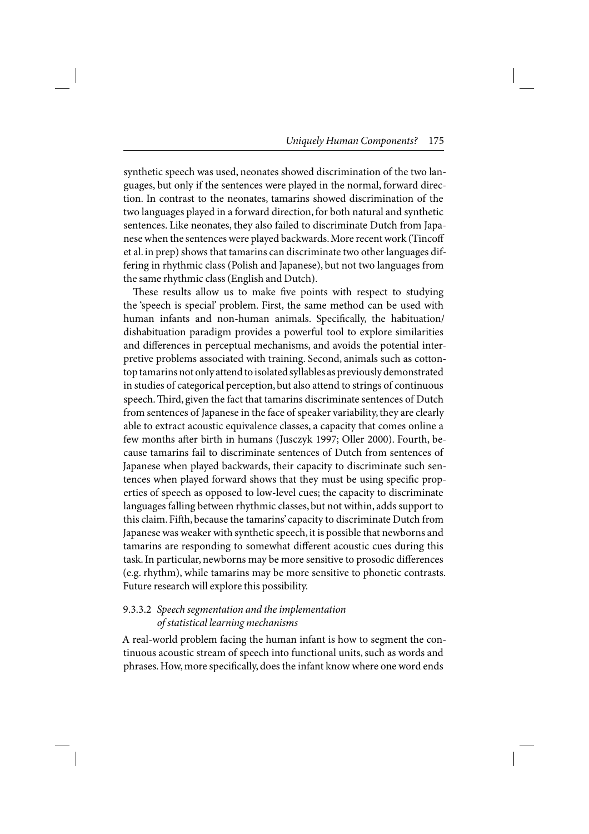synthetic speech was used, neonates showed discrimination of the two languages, but only if the sentences were played in the normal, forward direction. In contrast to the neonates, tamarins showed discrimination of the two languages played in a forward direction, for both natural and synthetic sentences. Like neonates, they also failed to discriminate Dutch from Japanese when the sentences were played backwards. More recent work (Tincoff et al. in prep) shows that tamarins can discriminate two other languages differing in rhythmic class (Polish and Japanese), but not two languages from the same rhythmic class (English and Dutch).

These results allow us to make five points with respect to studying the 'speech is special' problem. First, the same method can be used with human infants and non-human animals. Specifically, the habituation/ dishabituation paradigm provides a powerful tool to explore similarities and differences in perceptual mechanisms, and avoids the potential interpretive problems associated with training. Second, animals such as cottontop tamarins not only attend to isolated syllables as previously demonstrated in studies of categorical perception, but also attend to strings of continuous speech. Third, given the fact that tamarins discriminate sentences of Dutch from sentences of Japanese in the face of speaker variability, they are clearly able to extract acoustic equivalence classes, a capacity that comes online a few months after birth in humans (Jusczyk 1997; Oller 2000). Fourth, because tamarins fail to discriminate sentences of Dutch from sentences of Japanese when played backwards, their capacity to discriminate such sentences when played forward shows that they must be using specific properties of speech as opposed to low-level cues; the capacity to discriminate languages falling between rhythmic classes, but not within, adds support to this claim. Fifth, because the tamarins' capacity to discriminate Dutch from Japanese was weaker with synthetic speech, it is possible that newborns and tamarins are responding to somewhat different acoustic cues during this task. In particular, newborns may be more sensitive to prosodic differences (e.g. rhythm), while tamarins may be more sensitive to phonetic contrasts. Future research will explore this possibility.

## 9.3.3.2 *Speech segmentation and the implementation of statistical learning mechanisms*

A real-world problem facing the human infant is how to segment the continuous acoustic stream of speech into functional units, such as words and phrases. How, more specifically, does the infant know where one word ends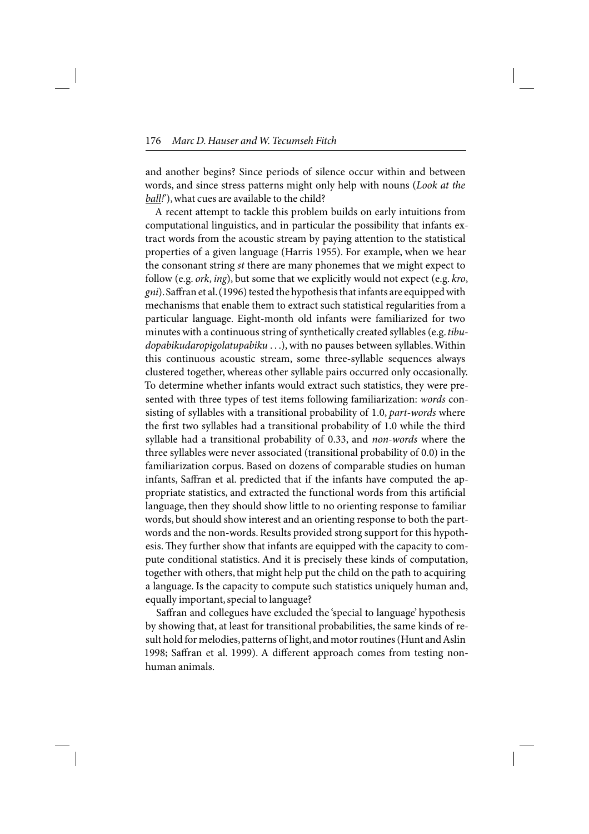and another begins? Since periods of silence occur within and between words, and since stress patterns might only help with nouns (*Look at the ball!*'), what cues are available to the child?

A recent attempt to tackle this problem builds on early intuitions from computational linguistics, and in particular the possibility that infants extract words from the acoustic stream by paying attention to the statistical properties of a given language (Harris 1955). For example, when we hear the consonant string *st* there are many phonemes that we might expect to follow (e.g. *ork*, *ing*), but some that we explicitly would not expect (e.g. *kro*, *gni*). Saffran et al. (1996) tested the hypothesis that infants are equipped with mechanisms that enable them to extract such statistical regularities from a particular language. Eight-month old infants were familiarized for two minutes with a continuous string of synthetically created syllables (e.g. *tibudopabikudaropigolatupabiku* . . .), with no pauses between syllables. Within this continuous acoustic stream, some three-syllable sequences always clustered together, whereas other syllable pairs occurred only occasionally. To determine whether infants would extract such statistics, they were presented with three types of test items following familiarization: *words* consisting of syllables with a transitional probability of 1.0, *part-words* where the first two syllables had a transitional probability of 1.0 while the third syllable had a transitional probability of 0.33, and *non-words* where the three syllables were never associated (transitional probability of 0.0) in the familiarization corpus. Based on dozens of comparable studies on human infants, Saffran et al. predicted that if the infants have computed the appropriate statistics, and extracted the functional words from this artificial language, then they should show little to no orienting response to familiar words, but should show interest and an orienting response to both the partwords and the non-words. Results provided strong support for this hypothesis. They further show that infants are equipped with the capacity to compute conditional statistics. And it is precisely these kinds of computation, together with others, that might help put the child on the path to acquiring a language. Is the capacity to compute such statistics uniquely human and, equally important, special to language?

Saffran and collegues have excluded the 'special to language' hypothesis by showing that, at least for transitional probabilities, the same kinds of result hold for melodies, patterns of light, and motor routines (Hunt and Aslin 1998; Saffran et al. 1999). A different approach comes from testing nonhuman animals.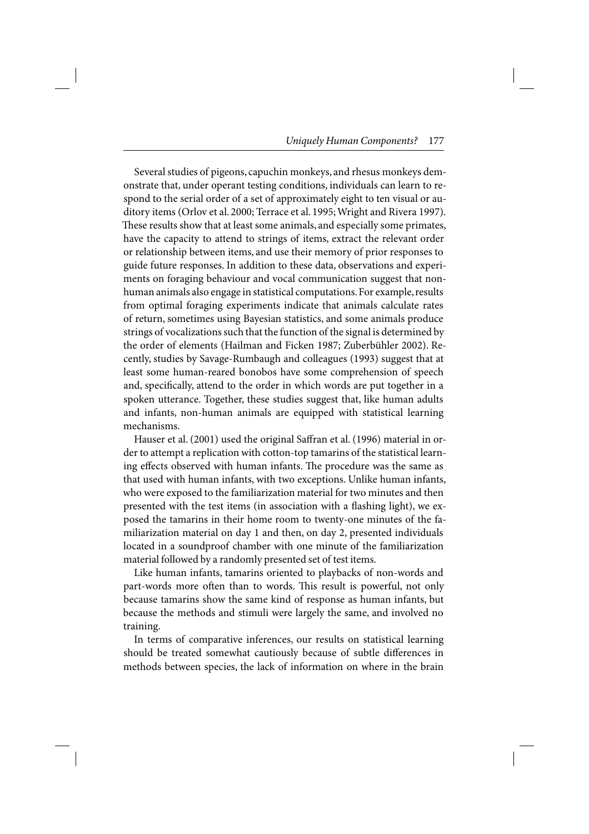Several studies of pigeons, capuchin monkeys, and rhesus monkeys demonstrate that, under operant testing conditions, individuals can learn to respond to the serial order of a set of approximately eight to ten visual or auditory items (Orlov et al. 2000; Terrace et al. 1995; Wright and Rivera 1997). These results show that at least some animals, and especially some primates, have the capacity to attend to strings of items, extract the relevant order or relationship between items, and use their memory of prior responses to guide future responses. In addition to these data, observations and experiments on foraging behaviour and vocal communication suggest that nonhuman animals also engage in statistical computations. For example, results from optimal foraging experiments indicate that animals calculate rates of return, sometimes using Bayesian statistics, and some animals produce strings of vocalizations such that the function of the signal is determined by the order of elements (Hailman and Ficken 1987; Zuberbühler 2002). Recently, studies by Savage-Rumbaugh and colleagues (1993) suggest that at least some human-reared bonobos have some comprehension of speech and, specifically, attend to the order in which words are put together in a spoken utterance. Together, these studies suggest that, like human adults and infants, non-human animals are equipped with statistical learning mechanisms.

Hauser et al. (2001) used the original Saffran et al. (1996) material in order to attempt a replication with cotton-top tamarins of the statistical learning effects observed with human infants. The procedure was the same as that used with human infants, with two exceptions. Unlike human infants, who were exposed to the familiarization material for two minutes and then presented with the test items (in association with a flashing light), we exposed the tamarins in their home room to twenty-one minutes of the familiarization material on day 1 and then, on day 2, presented individuals located in a soundproof chamber with one minute of the familiarization material followed by a randomly presented set of test items.

Like human infants, tamarins oriented to playbacks of non-words and part-words more often than to words. This result is powerful, not only because tamarins show the same kind of response as human infants, but because the methods and stimuli were largely the same, and involved no training.

In terms of comparative inferences, our results on statistical learning should be treated somewhat cautiously because of subtle differences in methods between species, the lack of information on where in the brain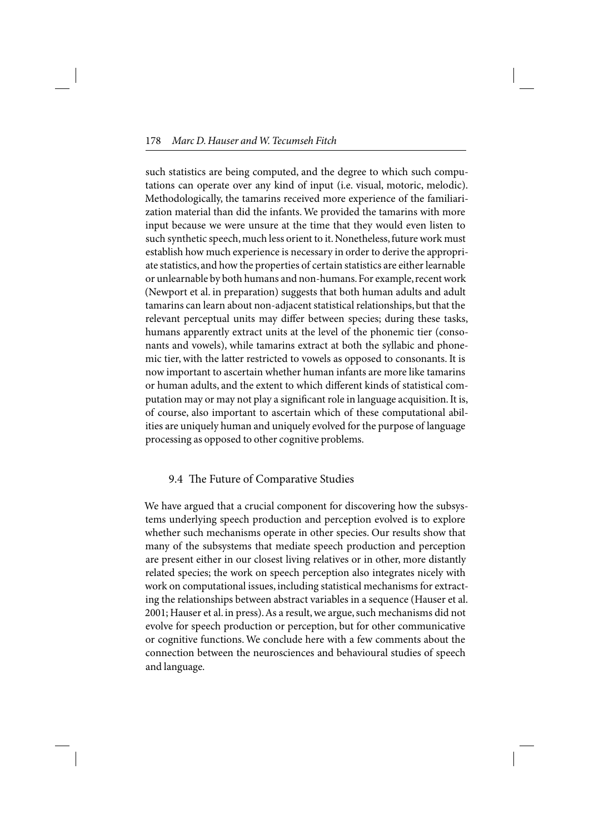such statistics are being computed, and the degree to which such computations can operate over any kind of input (i.e. visual, motoric, melodic). Methodologically, the tamarins received more experience of the familiarization material than did the infants. We provided the tamarins with more input because we were unsure at the time that they would even listen to such synthetic speech, much less orient to it. Nonetheless, future work must establish how much experience is necessary in order to derive the appropriate statistics, and how the properties of certain statistics are either learnable or unlearnable by both humans and non-humans. For example, recent work (Newport et al. in preparation) suggests that both human adults and adult tamarins can learn about non-adjacent statistical relationships, but that the relevant perceptual units may differ between species; during these tasks, humans apparently extract units at the level of the phonemic tier (consonants and vowels), while tamarins extract at both the syllabic and phonemic tier, with the latter restricted to vowels as opposed to consonants. It is now important to ascertain whether human infants are more like tamarins or human adults, and the extent to which different kinds of statistical computation may or may not play a significant role in language acquisition. It is, of course, also important to ascertain which of these computational abilities are uniquely human and uniquely evolved for the purpose of language processing as opposed to other cognitive problems.

#### 9.4 The Future of Comparative Studies

We have argued that a crucial component for discovering how the subsystems underlying speech production and perception evolved is to explore whether such mechanisms operate in other species. Our results show that many of the subsystems that mediate speech production and perception are present either in our closest living relatives or in other, more distantly related species; the work on speech perception also integrates nicely with work on computational issues, including statistical mechanisms for extracting the relationships between abstract variables in a sequence (Hauser et al. 2001; Hauser et al. in press). As a result, we argue, such mechanisms did not evolve for speech production or perception, but for other communicative or cognitive functions. We conclude here with a few comments about the connection between the neurosciences and behavioural studies of speech and language.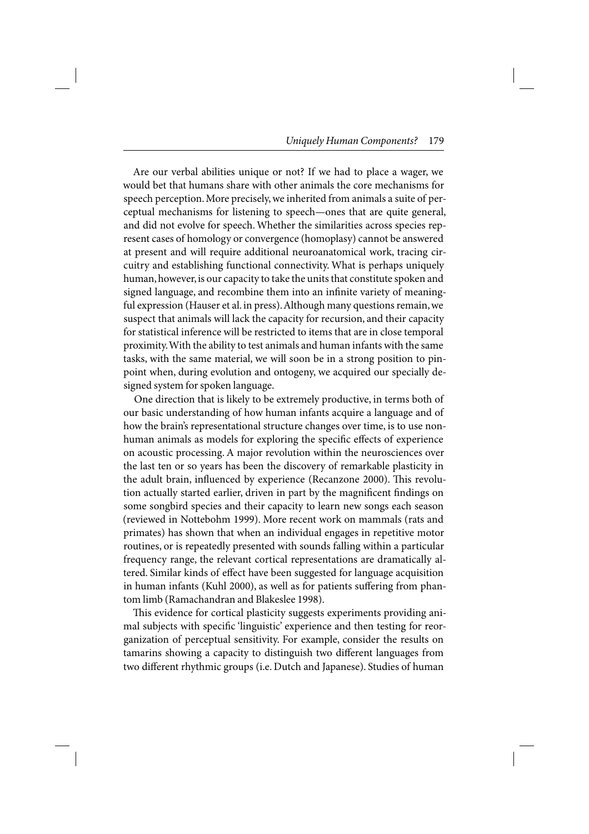Are our verbal abilities unique or not? If we had to place a wager, we would bet that humans share with other animals the core mechanisms for speech perception. More precisely, we inherited from animals a suite of perceptual mechanisms for listening to speech—ones that are quite general, and did not evolve for speech. Whether the similarities across species represent cases of homology or convergence (homoplasy) cannot be answered at present and will require additional neuroanatomical work, tracing circuitry and establishing functional connectivity. What is perhaps uniquely human, however, is our capacity to take the units that constitute spoken and signed language, and recombine them into an infinite variety of meaningful expression (Hauser et al. in press). Although many questions remain, we suspect that animals will lack the capacity for recursion, and their capacity for statistical inference will be restricted to items that are in close temporal proximity. With the ability to test animals and human infants with the same tasks, with the same material, we will soon be in a strong position to pinpoint when, during evolution and ontogeny, we acquired our specially designed system for spoken language.

One direction that is likely to be extremely productive, in terms both of our basic understanding of how human infants acquire a language and of how the brain's representational structure changes over time, is to use nonhuman animals as models for exploring the specific effects of experience on acoustic processing. A major revolution within the neurosciences over the last ten or so years has been the discovery of remarkable plasticity in the adult brain, influenced by experience (Recanzone 2000). This revolution actually started earlier, driven in part by the magnificent findings on some songbird species and their capacity to learn new songs each season (reviewed in Nottebohm 1999). More recent work on mammals (rats and primates) has shown that when an individual engages in repetitive motor routines, or is repeatedly presented with sounds falling within a particular frequency range, the relevant cortical representations are dramatically altered. Similar kinds of effect have been suggested for language acquisition in human infants (Kuhl 2000), as well as for patients suffering from phantom limb (Ramachandran and Blakeslee 1998).

This evidence for cortical plasticity suggests experiments providing animal subjects with specific 'linguistic' experience and then testing for reorganization of perceptual sensitivity. For example, consider the results on tamarins showing a capacity to distinguish two different languages from two different rhythmic groups (i.e. Dutch and Japanese). Studies of human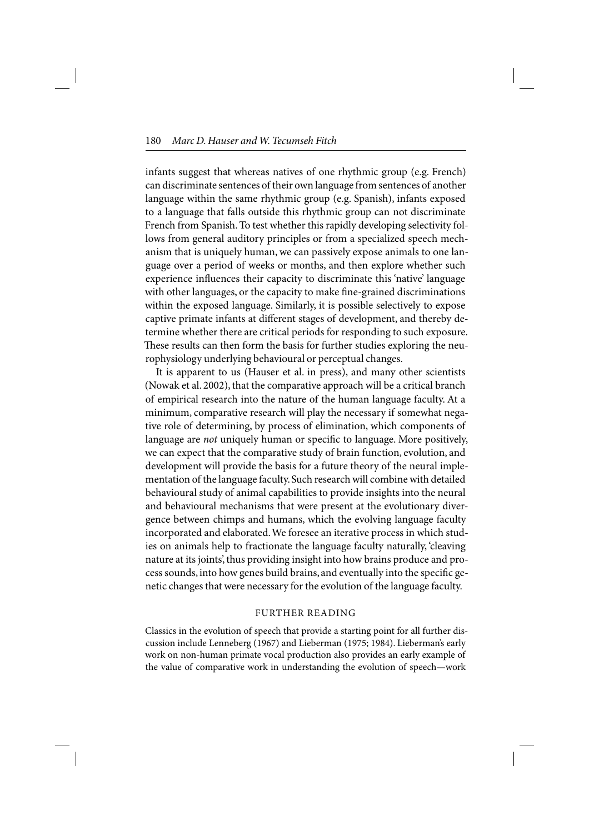infants suggest that whereas natives of one rhythmic group (e.g. French) can discriminate sentences of their own language from sentences of another language within the same rhythmic group (e.g. Spanish), infants exposed to a language that falls outside this rhythmic group can not discriminate French from Spanish. To test whether this rapidly developing selectivity follows from general auditory principles or from a specialized speech mechanism that is uniquely human, we can passively expose animals to one language over a period of weeks or months, and then explore whether such experience influences their capacity to discriminate this 'native' language with other languages, or the capacity to make fine-grained discriminations within the exposed language. Similarly, it is possible selectively to expose captive primate infants at different stages of development, and thereby determine whether there are critical periods for responding to such exposure. These results can then form the basis for further studies exploring the neurophysiology underlying behavioural or perceptual changes.

It is apparent to us (Hauser et al. in press), and many other scientists (Nowak et al. 2002), that the comparative approach will be a critical branch of empirical research into the nature of the human language faculty. At a minimum, comparative research will play the necessary if somewhat negative role of determining, by process of elimination, which components of language are *not* uniquely human or specific to language. More positively, we can expect that the comparative study of brain function, evolution, and development will provide the basis for a future theory of the neural implementation of the language faculty. Such research will combine with detailed behavioural study of animal capabilities to provide insights into the neural and behavioural mechanisms that were present at the evolutionary divergence between chimps and humans, which the evolving language faculty incorporated and elaborated. We foresee an iterative process in which studies on animals help to fractionate the language faculty naturally, 'cleaving nature at its joints', thus providing insight into how brains produce and process sounds, into how genes build brains, and eventually into the specific genetic changes that were necessary for the evolution of the language faculty.

## FURTHER READING

Classics in the evolution of speech that provide a starting point for all further discussion include Lenneberg (1967) and Lieberman (1975; 1984). Lieberman's early work on non-human primate vocal production also provides an early example of the value of comparative work in understanding the evolution of speech—work